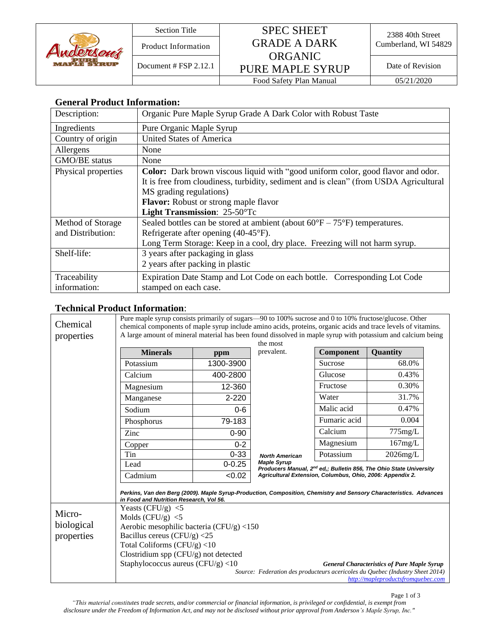# Section Title SPEC SHEET Product Information **GRADE A DARK** Cumberland, WI 54829 ORGANIC

PURE MAPLE SYRUP Document # FSP 2.12.1 Date of Revision

Food Safety Plan Manual 05/21/2020

## **General Product Information:**

| Description:        | Organic Pure Maple Syrup Grade A Dark Color with Robust Taste                              |
|---------------------|--------------------------------------------------------------------------------------------|
| Ingredients         | Pure Organic Maple Syrup                                                                   |
| Country of origin   | <b>United States of America</b>                                                            |
| Allergens           | None                                                                                       |
| GMO/BE status       | None                                                                                       |
| Physical properties | <b>Color:</b> Dark brown viscous liquid with "good uniform color, good flavor and odor.    |
|                     | It is free from cloudiness, turbidity, sediment and is clean" (from USDA Agricultural      |
|                     | MS grading regulations)                                                                    |
|                     | Flavor: Robust or strong maple flavor                                                      |
|                     | Light Transmission: 25-50°Tc                                                               |
| Method of Storage   | Sealed bottles can be stored at ambient (about $60^{\circ}F - 75^{\circ}F$ ) temperatures. |
| and Distribution:   | Refrigerate after opening (40-45°F).                                                       |
|                     | Long Term Storage: Keep in a cool, dry place. Freezing will not harm syrup.                |
| Shelf-life:         | 3 years after packaging in glass                                                           |
|                     | 2 years after packing in plastic                                                           |
| Traceability        | Expiration Date Stamp and Lot Code on each bottle. Corresponding Lot Code                  |
| information:        | stamped on each case.                                                                      |

### **Technical Product Information**:

| Chemical<br>properties | Pure maple syrup consists primarily of sugars—90 to 100% sucrose and 0 to 10% fructose/glucose. Other<br>chemical components of maple syrup include amino acids, proteins, organic acids and trace levels of vitamins.<br>A large amount of mineral material has been found dissolved in maple syrup with potassium and calcium being |            |                                                                                                                                                                   |              |                 |  |
|------------------------|---------------------------------------------------------------------------------------------------------------------------------------------------------------------------------------------------------------------------------------------------------------------------------------------------------------------------------------|------------|-------------------------------------------------------------------------------------------------------------------------------------------------------------------|--------------|-----------------|--|
|                        | the most                                                                                                                                                                                                                                                                                                                              |            |                                                                                                                                                                   |              |                 |  |
|                        | <b>Minerals</b>                                                                                                                                                                                                                                                                                                                       | ppm        | prevalent.                                                                                                                                                        | Component    | <b>Ouantity</b> |  |
|                        | Potassium                                                                                                                                                                                                                                                                                                                             | 1300-3900  |                                                                                                                                                                   | Sucrose      | 68.0%           |  |
|                        | Calcium                                                                                                                                                                                                                                                                                                                               | 400-2800   |                                                                                                                                                                   | Glucose      | 0.43%           |  |
|                        | Magnesium                                                                                                                                                                                                                                                                                                                             | 12-360     |                                                                                                                                                                   | Fructose     | 0.30%           |  |
|                        | Manganese                                                                                                                                                                                                                                                                                                                             | $2 - 220$  |                                                                                                                                                                   | Water        | 31.7%           |  |
|                        | Sodium                                                                                                                                                                                                                                                                                                                                | $0 - 6$    |                                                                                                                                                                   | Malic acid   | 0.47%           |  |
|                        | Phosphorus                                                                                                                                                                                                                                                                                                                            | 79-183     |                                                                                                                                                                   | Fumaric acid | 0.004           |  |
|                        | Zinc                                                                                                                                                                                                                                                                                                                                  | $0 - 90$   |                                                                                                                                                                   | Calcium      | $775$ mg/L      |  |
|                        | Copper                                                                                                                                                                                                                                                                                                                                | $0 - 2$    |                                                                                                                                                                   | Magnesium    | 167mg/L         |  |
|                        | Tin                                                                                                                                                                                                                                                                                                                                   | $0 - 33$   | <b>North American</b>                                                                                                                                             | Potassium    | $2026$ mg/L     |  |
|                        | Lead                                                                                                                                                                                                                                                                                                                                  | $0 - 0.25$ | <b>Maple Syrup</b><br>Producers Manual, 2 <sup>nd</sup> ed,; Bulletin 856, The Ohio State University<br>Agricultural Extension, Columbus, Ohio, 2006: Appendix 2. |              |                 |  |
|                        | Cadmium                                                                                                                                                                                                                                                                                                                               | < 0.02     |                                                                                                                                                                   |              |                 |  |
|                        | Perkins, Van den Berg (2009). Maple Syrup-Production, Composition, Chemistry and Sensory Characteristics. Advances<br>in Food and Nutrition Research, Vol 56.                                                                                                                                                                         |            |                                                                                                                                                                   |              |                 |  |
|                        | Yeasts (CFU/g) $<$ 5                                                                                                                                                                                                                                                                                                                  |            |                                                                                                                                                                   |              |                 |  |
| Micro-                 | Molds ( $CFU/g$ ) <5                                                                                                                                                                                                                                                                                                                  |            |                                                                                                                                                                   |              |                 |  |
| biological             | Aerobic mesophilic bacteria (CFU/g) $<$ 150<br>Bacillus cereus (CFU/g) $<$ 25<br>Total Coliforms $(CFU/g)$ <10                                                                                                                                                                                                                        |            |                                                                                                                                                                   |              |                 |  |
| properties             |                                                                                                                                                                                                                                                                                                                                       |            |                                                                                                                                                                   |              |                 |  |
|                        |                                                                                                                                                                                                                                                                                                                                       |            |                                                                                                                                                                   |              |                 |  |
|                        | Clostridium spp (CFU/g) not detected                                                                                                                                                                                                                                                                                                  |            |                                                                                                                                                                   |              |                 |  |
|                        | Staphylococcus aureus (CFU/g) <10<br><b>General Characteristics of Pure Maple Syrup</b>                                                                                                                                                                                                                                               |            |                                                                                                                                                                   |              |                 |  |
|                        | Source: Federation des producteurs acericoles du Quebec (Industry Sheet 2014)<br>http://mapleproductsfromquebec.com                                                                                                                                                                                                                   |            |                                                                                                                                                                   |              |                 |  |

*"This material constitutes trade secrets, and/or commercial or financial information, is privileged or confidential, is exempt from disclosure under the Freedom of Information Act, and may not be disclosed without prior approval from Anderson's Maple Syrup, Inc."*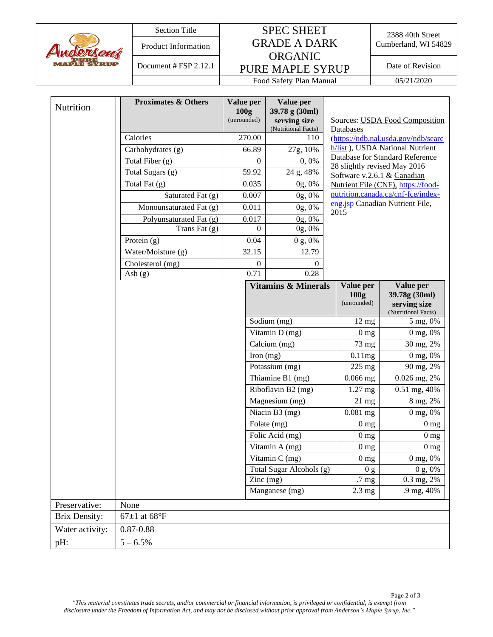

# Section Title SPEC SHEET Product Information **GRADE A DARK** Cumberland, WI 54829 ORGANIC PURE MAPLE SYRUP Document # FSP 2.12.1 Date of Revision

2388 40th Street<br>Cumberland, WI 54829

Food Safety Plan Manual 05/21/2020

| (Nutritional Facts)<br>Databases<br>270.00<br>Calories<br>110<br>h/list), USDA National Nutrient<br>66.89<br>27g, 10%<br>Carbohydrates (g) | (https://ndb.nal.usda.gov/ndb/searc                               |
|--------------------------------------------------------------------------------------------------------------------------------------------|-------------------------------------------------------------------|
|                                                                                                                                            |                                                                   |
|                                                                                                                                            |                                                                   |
| Database for Standard Reference<br>Total Fiber (g)<br>$\Omega$<br>0,0%                                                                     |                                                                   |
| 28 slightly revised May 2016<br>Total Sugars (g)<br>59.92<br>24 g, 48%<br>Software v.2.6.1 & Canadian                                      |                                                                   |
| Total Fat $(g)$<br>0.035<br>0g, 0%<br>Nutrient File (CNF), https://food-                                                                   |                                                                   |
| nutrition.canada.ca/cnf-fce/index-<br>0.007<br>Saturated Fat (g)<br>0g, 0%                                                                 |                                                                   |
| eng.jsp Canadian Nutrient File,<br>Monounsaturated Fat (g)<br>0.011<br>0g, 0%                                                              |                                                                   |
| 2015<br>0.017<br>Polyunsaturated Fat (g)<br>0g, 0%                                                                                         |                                                                   |
| Trans Fat (g)<br>$0g, 0\%$<br>$\Omega$                                                                                                     |                                                                   |
| 0.04<br>0 g, 0%<br>Protein $(g)$                                                                                                           |                                                                   |
| Water/Moisture (g)<br>12.79<br>32.15                                                                                                       |                                                                   |
| Cholesterol (mg)<br>$\theta$<br>$\mathbf{0}$                                                                                               |                                                                   |
| 0.28<br>0.71<br>Ash $(g)$                                                                                                                  |                                                                   |
| <b>Vitamins &amp; Minerals</b><br>Value per<br>100 <sub>g</sub><br>(unrounded)                                                             | Value per<br>39.78g (30ml)<br>serving size<br>(Nutritional Facts) |
| Sodium (mg)<br>$12 \text{ mg}$                                                                                                             | 5 mg, 0%                                                          |
| $\overline{\text{Vitamin}}$ D (mg)<br>0 <sub>mg</sub>                                                                                      | 0 mg, 0%                                                          |
| Calcium (mg)<br>73 mg                                                                                                                      | 30 mg, 2%                                                         |
| Iron $(mg)$<br>0.11mg                                                                                                                      | 0 mg, 0%                                                          |
| Potassium (mg)<br>225 mg                                                                                                                   | 90 mg, 2%                                                         |
| Thiamine B1 (mg)<br>$0.066$ mg                                                                                                             | 0.026 mg, 2%                                                      |
| Riboflavin B2 (mg)<br>$1.27$ mg                                                                                                            | 0.51 mg, 40%                                                      |
| Magnesium (mg)<br>$21 \text{ mg}$                                                                                                          | 8 mg, 2%                                                          |
| Niacin B3 (mg)<br>$0.081$ mg                                                                                                               | 0 mg, 0%                                                          |
| Folate (mg)<br>0 <sub>mg</sub>                                                                                                             | 0 <sub>mg</sub>                                                   |
| Folic Acid (mg)<br>0 <sub>mg</sub>                                                                                                         | 0 <sub>mg</sub>                                                   |
| Vitamin A (mg)<br>0 <sub>mg</sub>                                                                                                          | 0 <sub>mg</sub>                                                   |
| Vitamin C (mg)<br>0 <sub>mg</sub>                                                                                                          | $0 \text{ mg}, 0\%$                                               |
| Total Sugar Alcohols (g)<br>0 g<br>$\text{Zinc} \left( \text{mg} \right)$<br>.7 <sub>mg</sub>                                              | 0 g, 0%<br>$\overline{0.3}$ mg, 2%                                |
| Manganese (mg)<br>$2.3 \text{ mg}$                                                                                                         | .9 mg, 40%                                                        |
| Preservative:<br>None                                                                                                                      |                                                                   |
| $67\pm1$ at $68^{\circ}$ F<br><b>Brix Density:</b>                                                                                         |                                                                   |
| $0.87 - 0.88$<br>Water activity:                                                                                                           |                                                                   |
| $5 - 6.5\%$<br>pH:                                                                                                                         |                                                                   |